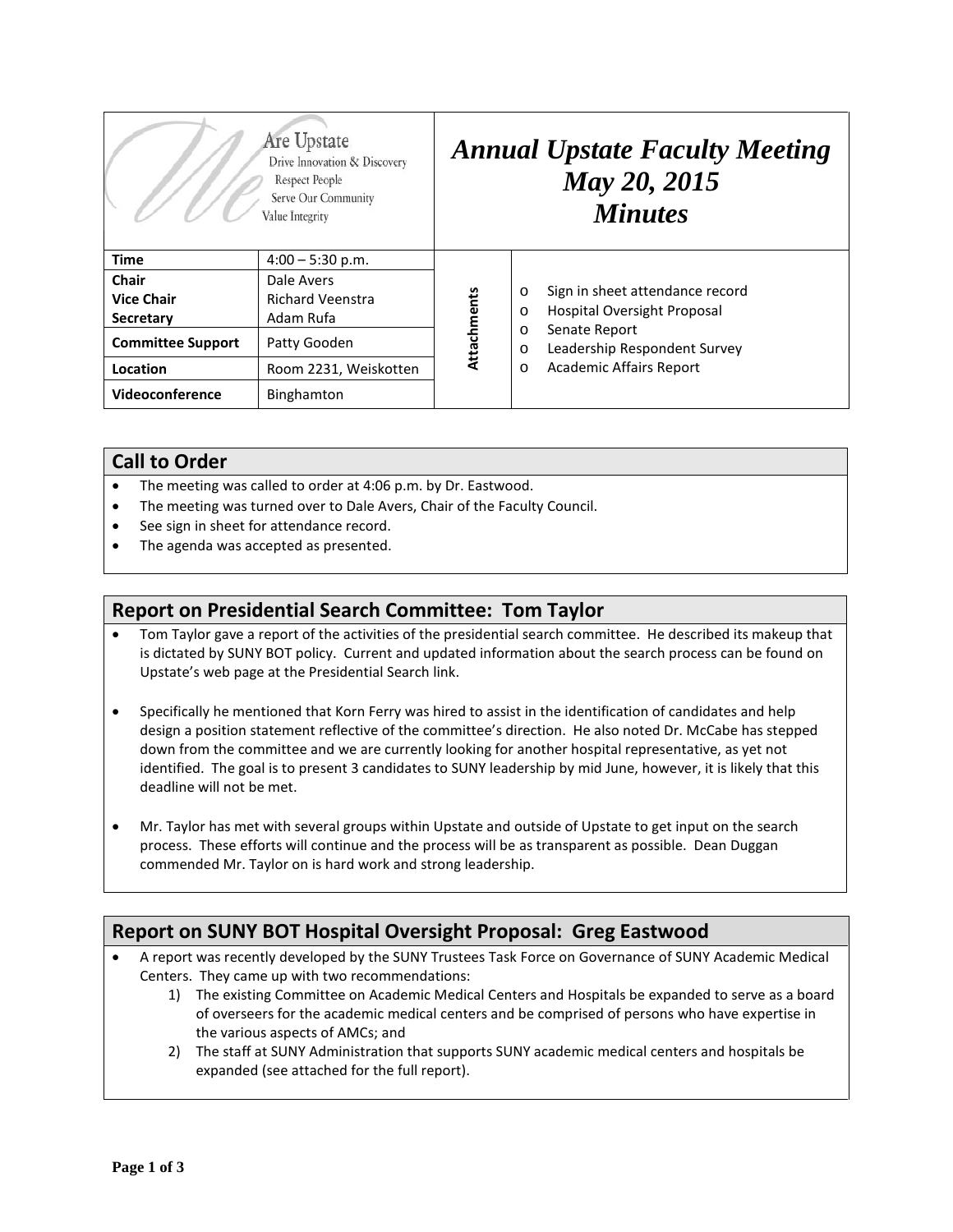|                          | Are Upstate<br>Drive Innovation & Discovery<br>Respect People<br>Serve Our Community<br>Value Integrity |             | <b>Annual Upstate Faculty Meeting</b><br>May 20, 2015<br><b>Minutes</b>                                                                                                                             |
|--------------------------|---------------------------------------------------------------------------------------------------------|-------------|-----------------------------------------------------------------------------------------------------------------------------------------------------------------------------------------------------|
| <b>Time</b>              | $4:00 - 5:30$ p.m.                                                                                      |             |                                                                                                                                                                                                     |
| Chair                    | Dale Avers                                                                                              | Attachments | Sign in sheet attendance record<br>$\circ$<br>Hospital Oversight Proposal<br>O<br>Senate Report<br>$\circ$<br>Leadership Respondent Survey<br>$\circ$<br><b>Academic Affairs Report</b><br>$\Omega$ |
| <b>Vice Chair</b>        | <b>Richard Veenstra</b>                                                                                 |             |                                                                                                                                                                                                     |
| Secretary                | Adam Rufa                                                                                               |             |                                                                                                                                                                                                     |
| <b>Committee Support</b> | Patty Gooden                                                                                            |             |                                                                                                                                                                                                     |
| Location                 | Room 2231, Weiskotten                                                                                   |             |                                                                                                                                                                                                     |
| Videoconference          | Binghamton                                                                                              |             |                                                                                                                                                                                                     |

#### **Call to Order**

- The meeting was called to order at 4:06 p.m. by Dr. Eastwood.
- The meeting was turned over to Dale Avers, Chair of the Faculty Council.
- See sign in sheet for attendance record.
- The agenda was accepted as presented.

### **Report on Presidential Search Committee: Tom Taylor**

- Tom Taylor gave a report of the activities of the presidential search committee. He described its makeup that is dictated by SUNY BOT policy. Current and updated information about the search process can be found on Upstate's web page at the Presidential Search link.
- Specifically he mentioned that Korn Ferry was hired to assist in the identification of candidates and help design a position statement reflective of the committee's direction. He also noted Dr. McCabe has stepped down from the committee and we are currently looking for another hospital representative, as yet not identified. The goal is to present 3 candidates to SUNY leadership by mid June, however, it is likely that this deadline will not be met.
- Mr. Taylor has met with several groups within Upstate and outside of Upstate to get input on the search process. These efforts will continue and the process will be as transparent as possible. Dean Duggan commended Mr. Taylor on is hard work and strong leadership.

# **Report on SUNY BOT Hospital Oversight Proposal: Greg Eastwood**

- A report was recently developed by the SUNY Trustees Task Force on Governance of SUNY Academic Medical Centers. They came up with two recommendations:
	- 1) The existing Committee on Academic Medical Centers and Hospitals be expanded to serve as a board of overseers for the academic medical centers and be comprised of persons who have expertise in the various aspects of AMCs; and
	- 2) The staff at SUNY Administration that supports SUNY academic medical centers and hospitals be expanded (see attached for the full report).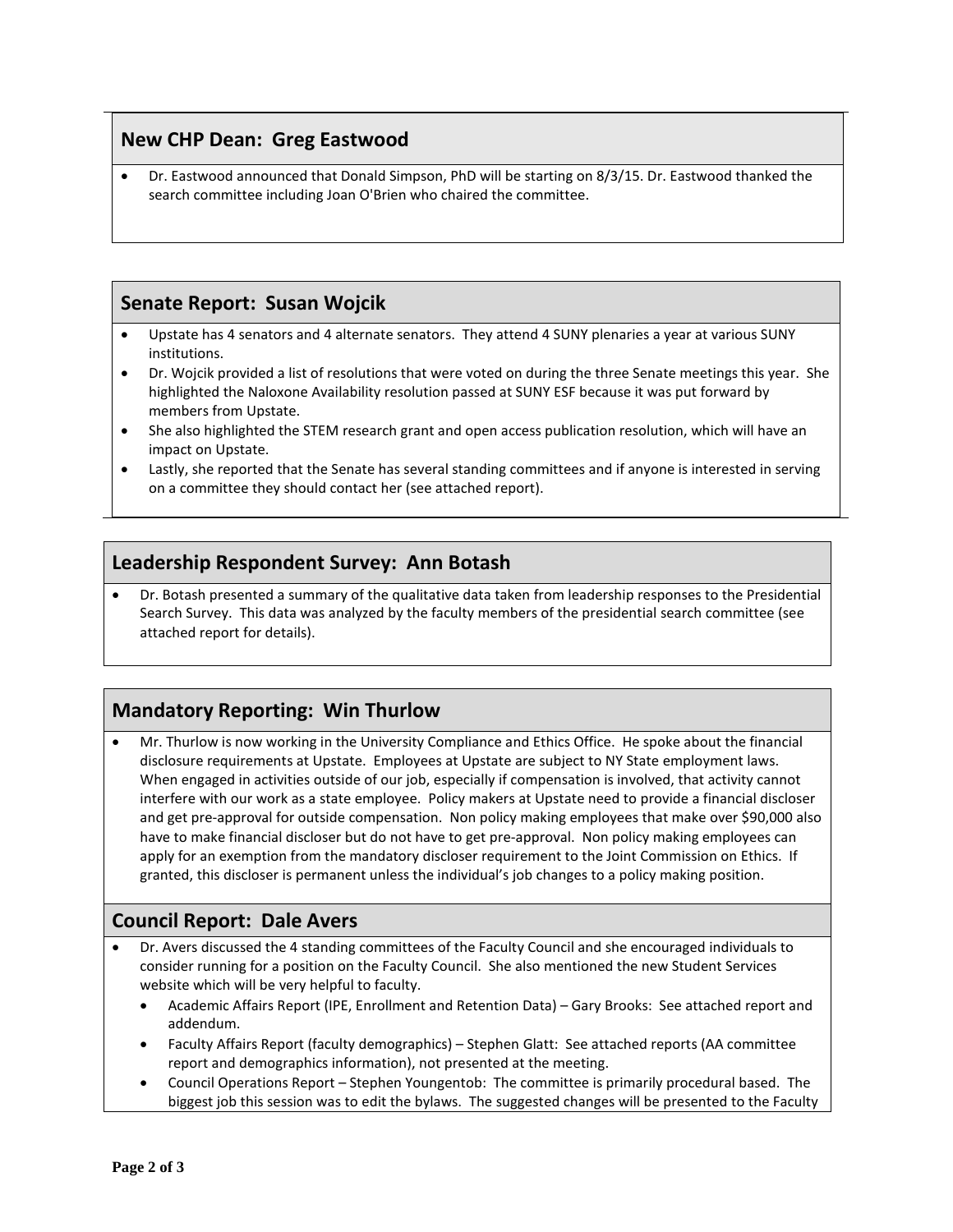# **New CHP Dean: Greg Eastwood**

• Dr. Eastwood announced that Donald Simpson, PhD will be starting on 8/3/15. Dr. Eastwood thanked the search committee including Joan O'Brien who chaired the committee.

# **Senate Report: Susan Wojcik**

- Upstate has 4 senators and 4 alternate senators. They attend 4 SUNY plenaries a year at various SUNY institutions.
- Dr. Wojcik provided a list of resolutions that were voted on during the three Senate meetings this year. She highlighted the Naloxone Availability resolution passed at SUNY ESF because it was put forward by members from Upstate.
- She also highlighted the STEM research grant and open access publication resolution, which will have an impact on Upstate.
- Lastly, she reported that the Senate has several standing committees and if anyone is interested in serving on a committee they should contact her (see attached report).

### **Leadership Respondent Survey: Ann Botash**

• Dr. Botash presented a summary of the qualitative data taken from leadership responses to the Presidential Search Survey. This data was analyzed by the faculty members of the presidential search committee (see attached report for details).

# **Mandatory Reporting: Win Thurlow**

• Mr. Thurlow is now working in the University Compliance and Ethics Office. He spoke about the financial disclosure requirements at Upstate. Employees at Upstate are subject to NY State employment laws. When engaged in activities outside of our job, especially if compensation is involved, that activity cannot interfere with our work as a state employee. Policy makers at Upstate need to provide a financial discloser and get pre-approval for outside compensation. Non policy making employees that make over \$90,000 also have to make financial discloser but do not have to get pre-approval. Non policy making employees can apply for an exemption from the mandatory discloser requirement to the Joint Commission on Ethics. If granted, this discloser is permanent unless the individual's job changes to a policy making position.

### **Council Report: Dale Avers**

- Dr. Avers discussed the 4 standing committees of the Faculty Council and she encouraged individuals to consider running for a position on the Faculty Council. She also mentioned the new Student Services website which will be very helpful to faculty.
	- Academic Affairs Report (IPE, Enrollment and Retention Data) Gary Brooks: See attached report and addendum.
	- Faculty Affairs Report (faculty demographics) Stephen Glatt: See attached reports (AA committee report and demographics information), not presented at the meeting.
	- Council Operations Report Stephen Youngentob: The committee is primarily procedural based. The biggest job this session was to edit the bylaws. The suggested changes will be presented to the Faculty